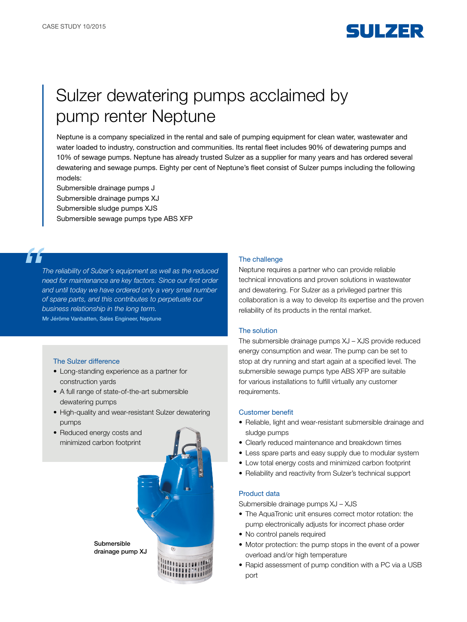

# Sulzer dewatering pumps acclaimed by pump renter Neptune

Neptune is a company specialized in the rental and sale of pumping equipment for clean water, wastewater and water loaded to industry, construction and communities. Its rental fleet includes 90% of dewatering pumps and 10% of sewage pumps. Neptune has already trusted Sulzer as a supplier for many years and has ordered several dewatering and sewage pumps. Eighty per cent of Neptune's fleet consist of Sulzer pumps including the following models:

Submersible drainage pumps J

Submersible drainage pumps XJ

Submersible sludge pumps XJS

Submersible sewage pumps type ABS XFP

*The reliability of Sulzer's equipment as well as the reduced need for maintenance are key factors. Since our first order and until today we have ordered only a very small number of spare parts, and this contributes to perpetuate our business relationship in the long term.* Mr Jérôme Vanbatten, Sales Engineer, Neptune

# The Sulzer difference

- Long-standing experience as a partner for construction yards
- A full range of state-of-the-art submersible dewatering pumps
- High-quality and wear-resistant Sulzer dewatering pumps
- Reduced energy costs and minimized carbon footprint



#### The challenge

Neptune requires a partner who can provide reliable technical innovations and proven solutions in wastewater and dewatering. For Sulzer as a privileged partner this collaboration is a way to develop its expertise and the proven reliability of its products in the rental market.

## The solution

The submersible drainage pumps XJ – XJS provide reduced energy consumption and wear. The pump can be set to stop at dry running and start again at a specified level. The submersible sewage pumps type ABS XFP are suitable for various installations to fulfill virtually any customer requirements.

#### Customer benefit

- Reliable, light and wear-resistant submersible drainage and sludge pumps
- Clearly reduced maintenance and breakdown times
- Less spare parts and easy supply due to modular system
- Low total energy costs and minimized carbon footprint
- Reliability and reactivity from Sulzer's technical support

### Product data

Submersible drainage pumps XJ – XJS

- The AquaTronic unit ensures correct motor rotation: the pump electronically adjusts for incorrect phase order
- No control panels required
- Motor protection: the pump stops in the event of a power overload and/or high temperature
- Rapid assessment of pump condition with a PC via a USB port